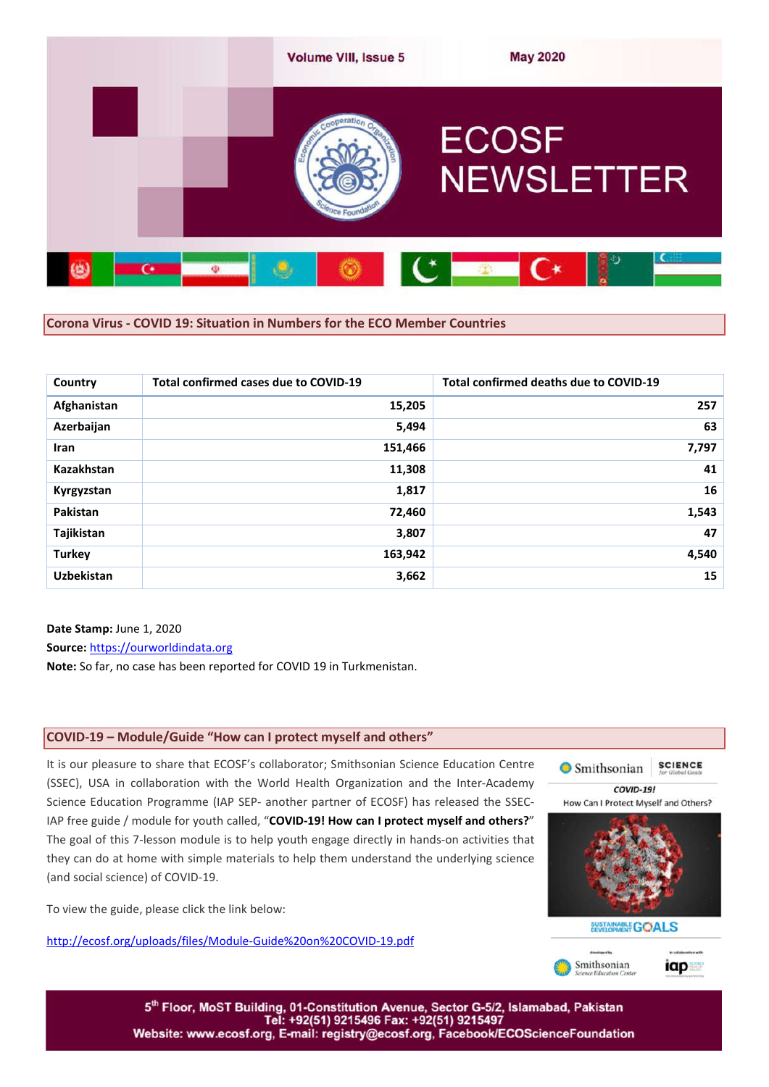

### **Corona Virus - COVID 19: Situation in Numbers for the ECO Member Countries**

| Country           | Total confirmed cases due to COVID-19 | Total confirmed deaths due to COVID-19 |
|-------------------|---------------------------------------|----------------------------------------|
| Afghanistan       | 15,205                                | 257                                    |
| Azerbaijan        | 5,494                                 | 63                                     |
| <b>Iran</b>       | 151,466                               | 7,797                                  |
| <b>Kazakhstan</b> | 11,308                                | 41                                     |
| Kyrgyzstan        | 1,817                                 | 16                                     |
| Pakistan          | 72,460                                | 1,543                                  |
| Tajikistan        | 3,807                                 | 47                                     |
| <b>Turkey</b>     | 163,942                               | 4,540                                  |
| <b>Uzbekistan</b> | 3,662                                 | 15                                     |

### **Date Stamp:** June 1, 2020

**Source:** https://ourworldindata.org

**Note:** So far, no case has been reported for COVID 19 in Turkmenistan.

### **COVID-19 – Module/Guide "How can I protect myself and others"**

## It is our pleasure to share that ECOSF's collaborator; Smithsonian Science Education Centre (SSEC), USA in collaboration with the World Health Organization and the Inter-Academy Science Education Programme (IAP SEP- another partner of ECOSF) has released the SSEC-IAP free guide / module for youth called, "**COVID-19! How can I protect myself and others?**" The goal of this 7-lesson module is to help youth engage directly in hands-on activities that they can do at home with simple materials to help them understand the underlying science (and social science) of COVID-19.

To view the guide, please click the link below:

http://ecosf.org/uploads/files/Module-Guide%20on%20COVID-19.pdf



5th Floor, MoST Building, 01-Constitution Avenue, Sector G-5/2, Islamabad, Pakistan Tel: +92(51) 9215496 Fax: +92(51) 9215497 Website: www.ecosf.org, E-mail: registry@ecosf.org, Facebook/ECOScienceFoundation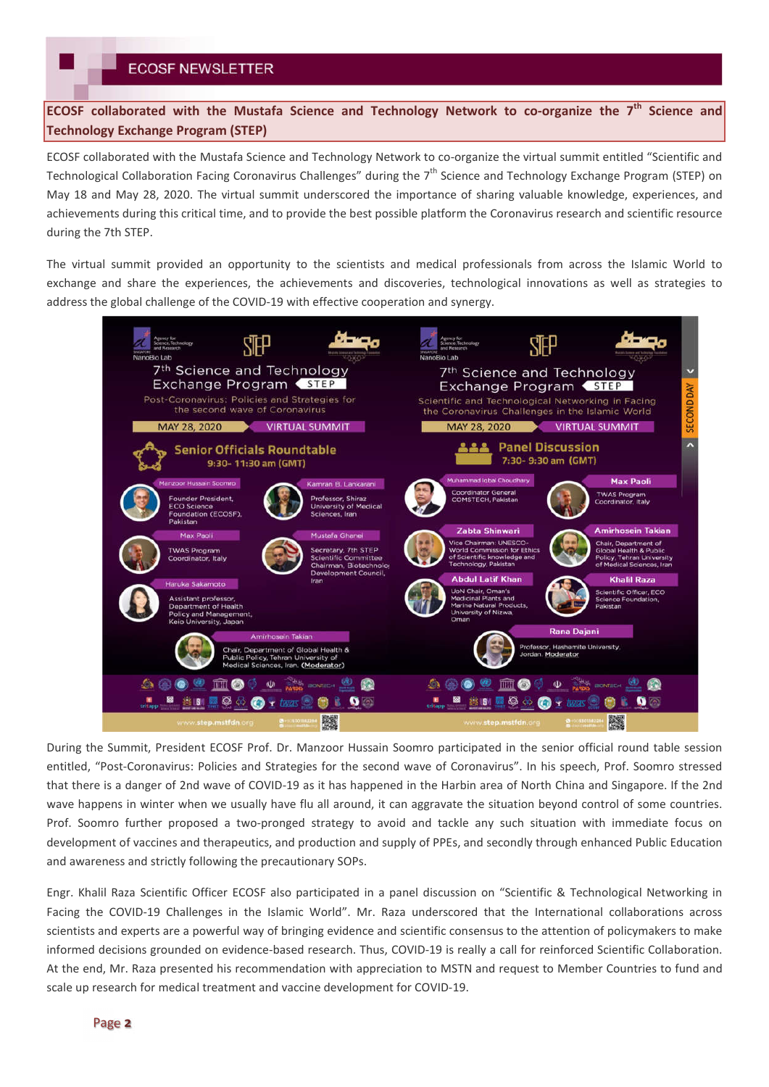**ECOSF collaborated with the Mustafa Science and Technology Network to co-organize the 7th Science and Technology Exchange Program (STEP)**

ECOSF collaborated with the Mustafa Science and Technology Network to co-organize the virtual summit entitled "Scientific and Technological Collaboration Facing Coronavirus Challenges" during the  $7<sup>th</sup>$  Science and Technology Exchange Program (STEP) on May 18 and May 28, 2020. The virtual summit underscored the importance of sharing valuable knowledge, experiences, and achievements during this critical time, and to provide the best possible platform the Coronavirus research and scientific resource during the 7th STEP.

The virtual summit provided an opportunity to the scientists and medical professionals from across the Islamic World to exchange and share the experiences, the achievements and discoveries, technological innovations as well as strategies to address the global challenge of the COVID-19 with effective cooperation and synergy.



During the Summit, President ECOSF Prof. Dr. Manzoor Hussain Soomro participated in the senior official round table session entitled, "Post-Coronavirus: Policies and Strategies for the second wave of Coronavirus". In his speech, Prof. Soomro stressed that there is a danger of 2nd wave of COVID-19 as it has happened in the Harbin area of North China and Singapore. If the 2nd wave happens in winter when we usually have flu all around, it can aggravate the situation beyond control of some countries. Prof. Soomro further proposed a two-pronged strategy to avoid and tackle any such situation with immediate focus on development of vaccines and therapeutics, and production and supply of PPEs, and secondly through enhanced Public Education and awareness and strictly following the precautionary SOPs.

Engr. Khalil Raza Scientific Officer ECOSF also participated in a panel discussion on "Scientific & Technological Networking in Facing the COVID-19 Challenges in the Islamic World". Mr. Raza underscored that the International collaborations across scientists and experts are a powerful way of bringing evidence and scientific consensus to the attention of policymakers to make informed decisions grounded on evidence-based research. Thus, COVID-19 is really a call for reinforced Scientific Collaboration. At the end, Mr. Raza presented his recommendation with appreciation to MSTN and request to Member Countries to fund and scale up research for medical treatment and vaccine development for COVID-19.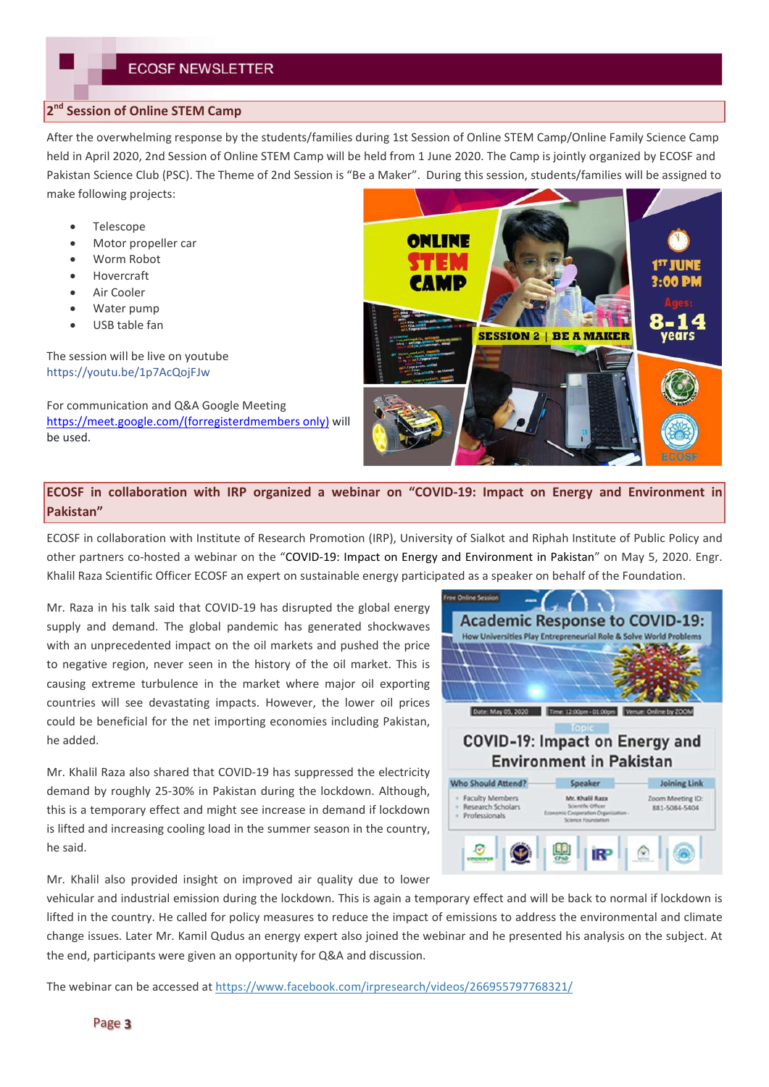## **2nd Session of Online STEM Camp**

After the overwhelming response by the students/families during 1st Session of Online STEM Camp/Online Family Science Camp held in April 2020, 2nd Session of Online STEM Camp will be held from 1 June 2020. The Camp is jointly organized by ECOSF and Pakistan Science Club (PSC). The Theme of 2nd Session is "Be a Maker". During this session, students/families will be assigned to make following projects:

- Telescope
- Motor propeller car
- Worm Robot
- Hovercraft
- Air Cooler
- Water pump
- USB table fan

The session will be live on youtube https://youtu.be/1p7AcQojFJw

For communication and Q&A Google Meeting https://meet.google.com/(forregisterdmembers only) will be used.



## **ECOSF in collaboration with IRP organized a webinar on "COVID-19: Impact on Energy and Environment in Pakistan"**

ECOSF in collaboration with Institute of Research Promotion (IRP), University of Sialkot and Riphah Institute of Public Policy and other partners co-hosted a webinar on the "COVID-19: Impact on Energy and Environment in Pakistan" on May 5, 2020. Engr. Khalil Raza Scientific Officer ECOSF an expert on sustainable energy participated as a speaker on behalf of the Foundation.

Mr. Raza in his talk said that COVID-19 has disrupted the global energy supply and demand. The global pandemic has generated shockwaves with an unprecedented impact on the oil markets and pushed the price to negative region, never seen in the history of the oil market. This is causing extreme turbulence in the market where major oil exporting countries will see devastating impacts. However, the lower oil prices could be beneficial for the net importing economies including Pakistan, he added.

Mr. Khalil Raza also shared that COVID-19 has suppressed the electricity demand by roughly 25-30% in Pakistan during the lockdown. Although, this is a temporary effect and might see increase in demand if lockdown is lifted and increasing cooling load in the summer season in the country, he said.

**Academic Response to COVID-19:** w Universities Play Entrepreneurial Role Date: May 05, 2020  $Time 120$ **COVID-19: Impact on Energy and Environment in Pakistan Who Should Attend? Joining Link** Speaker **Faculty Members** Mr. Khalil Raza Zoom Meeting ID Research Scholar 881-5084-5404 n Ora Professionals

Mr. Khalil also provided insight on improved air quality due to lower

vehicular and industrial emission during the lockdown. This is again a temporary effect and will be back to normal if lockdown is lifted in the country. He called for policy measures to reduce the impact of emissions to address the environmental and climate change issues. Later Mr. Kamil Qudus an energy expert also joined the webinar and he presented his analysis on the subject. At the end, participants were given an opportunity for Q&A and discussion.

The webinar can be accessed at https://www.facebook.com/irpresearch/videos/266955797768321/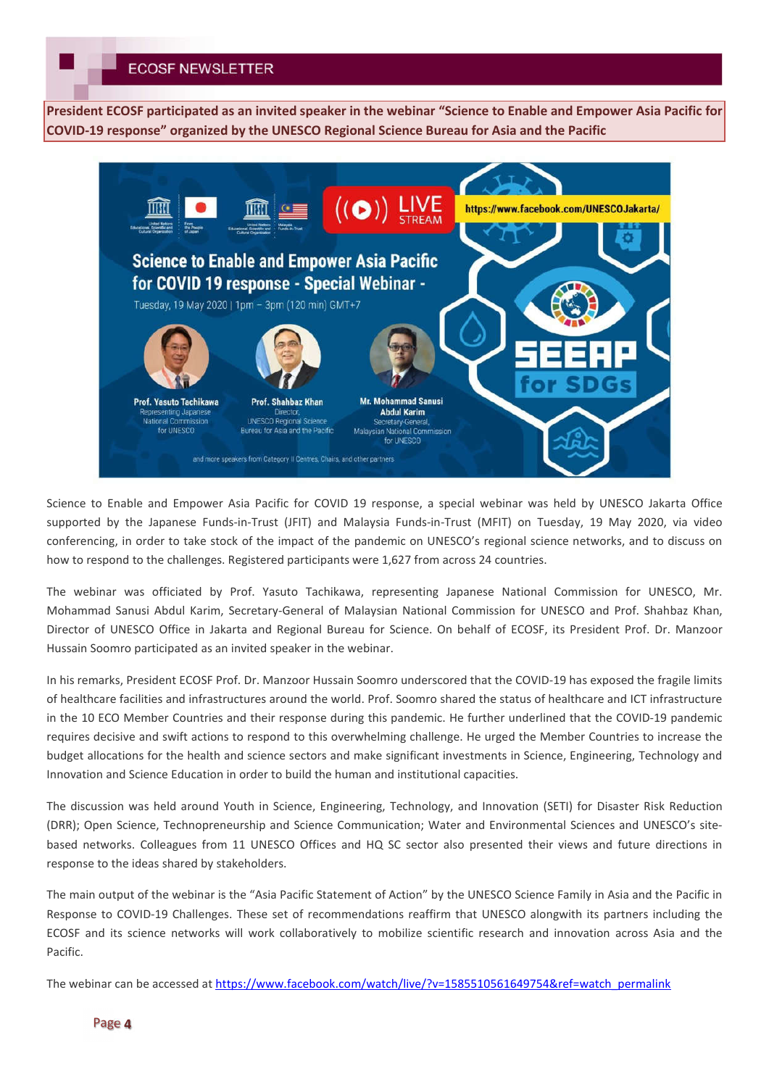## **ECOSF NEWSLETTER**

**President ECOSF participated as an invited speaker in the webinar "Science to Enable and Empower Asia Pacific for COVID-19 response" organized by the UNESCO Regional Science Bureau for Asia and the Pacific**



Science to Enable and Empower Asia Pacific for COVID 19 response, a special webinar was held by UNESCO Jakarta Office supported by the Japanese Funds-in-Trust (JFIT) and Malaysia Funds-in-Trust (MFIT) on Tuesday, 19 May 2020, via video conferencing, in order to take stock of the impact of the pandemic on UNESCO's regional science networks, and to discuss on how to respond to the challenges. Registered participants were 1,627 from across 24 countries.

The webinar was officiated by Prof. Yasuto Tachikawa, representing Japanese National Commission for UNESCO, Mr. Mohammad Sanusi Abdul Karim, Secretary-General of Malaysian National Commission for UNESCO and Prof. Shahbaz Khan, Director of UNESCO Office in Jakarta and Regional Bureau for Science. On behalf of ECOSF, its President Prof. Dr. Manzoor Hussain Soomro participated as an invited speaker in the webinar.

In his remarks, President ECOSF Prof. Dr. Manzoor Hussain Soomro underscored that the COVID-19 has exposed the fragile limits of healthcare facilities and infrastructures around the world. Prof. Soomro shared the status of healthcare and ICT infrastructure in the 10 ECO Member Countries and their response during this pandemic. He further underlined that the COVID-19 pandemic requires decisive and swift actions to respond to this overwhelming challenge. He urged the Member Countries to increase the budget allocations for the health and science sectors and make significant investments in Science, Engineering, Technology and Innovation and Science Education in order to build the human and institutional capacities.

The discussion was held around Youth in Science, Engineering, Technology, and Innovation (SETI) for Disaster Risk Reduction (DRR); Open Science, Technopreneurship and Science Communication; Water and Environmental Sciences and UNESCO's sitebased networks. Colleagues from 11 UNESCO Offices and HQ SC sector also presented their views and future directions in response to the ideas shared by stakeholders.

The main output of the webinar is the "Asia Pacific Statement of Action" by the UNESCO Science Family in Asia and the Pacific in Response to COVID-19 Challenges. These set of recommendations reaffirm that UNESCO alongwith its partners including the ECOSF and its science networks will work collaboratively to mobilize scientific research and innovation across Asia and the Pacific.

The webinar can be accessed at https://www.facebook.com/watch/live/?v=1585510561649754&ref=watch\_permalink

### Page 4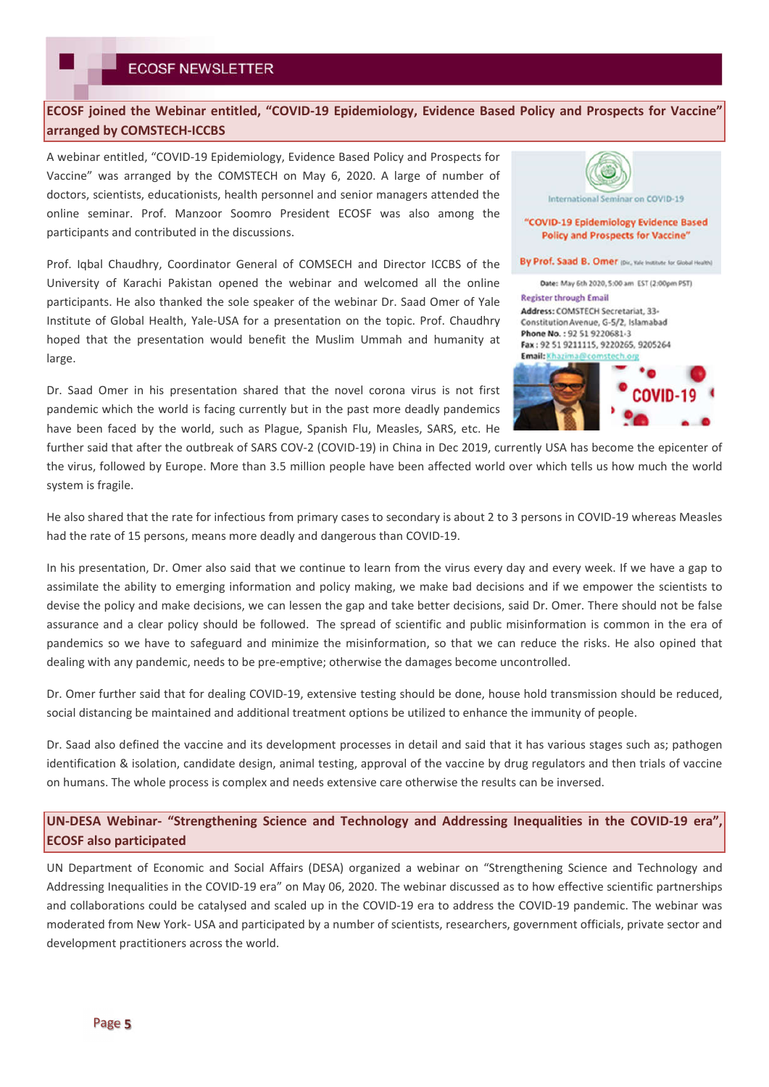## **ECOSF joined the Webinar entitled, "COVID-19 Epidemiology, Evidence Based Policy and Prospects for Vaccine" arranged by COMSTECH-ICCBS**

A webinar entitled, "COVID-19 Epidemiology, Evidence Based Policy and Prospects for Vaccine" was arranged by the COMSTECH on May 6, 2020. A large of number of doctors, scientists, educationists, health personnel and senior managers attended the online seminar. Prof. Manzoor Soomro President ECOSF was also among the participants and contributed in the discussions.

Prof. Iqbal Chaudhry, Coordinator General of COMSECH and Director ICCBS of the University of Karachi Pakistan opened the webinar and welcomed all the online participants. He also thanked the sole speaker of the webinar Dr. Saad Omer of Yale Institute of Global Health, Yale-USA for a presentation on the topic. Prof. Chaudhry hoped that the presentation would benefit the Muslim Ummah and humanity at large.

Dr. Saad Omer in his presentation shared that the novel corona virus is not first pandemic which the world is facing currently but in the past more deadly pandemics have been faced by the world, such as Plague, Spanish Flu, Measles, SARS, etc. He



further said that after the outbreak of SARS COV-2 (COVID-19) in China in Dec 2019, currently USA has become the epicenter of the virus, followed by Europe. More than 3.5 million people have been affected world over which tells us how much the world system is fragile.

He also shared that the rate for infectious from primary cases to secondary is about 2 to 3 persons in COVID-19 whereas Measles had the rate of 15 persons, means more deadly and dangerous than COVID-19.

In his presentation, Dr. Omer also said that we continue to learn from the virus every day and every week. If we have a gap to assimilate the ability to emerging information and policy making, we make bad decisions and if we empower the scientists to devise the policy and make decisions, we can lessen the gap and take better decisions, said Dr. Omer. There should not be false assurance and a clear policy should be followed. The spread of scientific and public misinformation is common in the era of pandemics so we have to safeguard and minimize the misinformation, so that we can reduce the risks. He also opined that dealing with any pandemic, needs to be pre-emptive; otherwise the damages become uncontrolled.

Dr. Omer further said that for dealing COVID-19, extensive testing should be done, house hold transmission should be reduced, social distancing be maintained and additional treatment options be utilized to enhance the immunity of people.

Dr. Saad also defined the vaccine and its development processes in detail and said that it has various stages such as; pathogen identification & isolation, candidate design, animal testing, approval of the vaccine by drug regulators and then trials of vaccine on humans. The whole process is complex and needs extensive care otherwise the results can be inversed.

## **UN-DESA Webinar- "Strengthening Science and Technology and Addressing Inequalities in the COVID-19 era", ECOSF also participated**

UN Department of Economic and Social Affairs (DESA) organized a webinar on "Strengthening Science and Technology and Addressing Inequalities in the COVID-19 era" on May 06, 2020. The webinar discussed as to how effective scientific partnerships and collaborations could be catalysed and scaled up in the COVID-19 era to address the COVID-19 pandemic. The webinar was moderated from New York- USA and participated by a number of scientists, researchers, government officials, private sector and development practitioners across the world.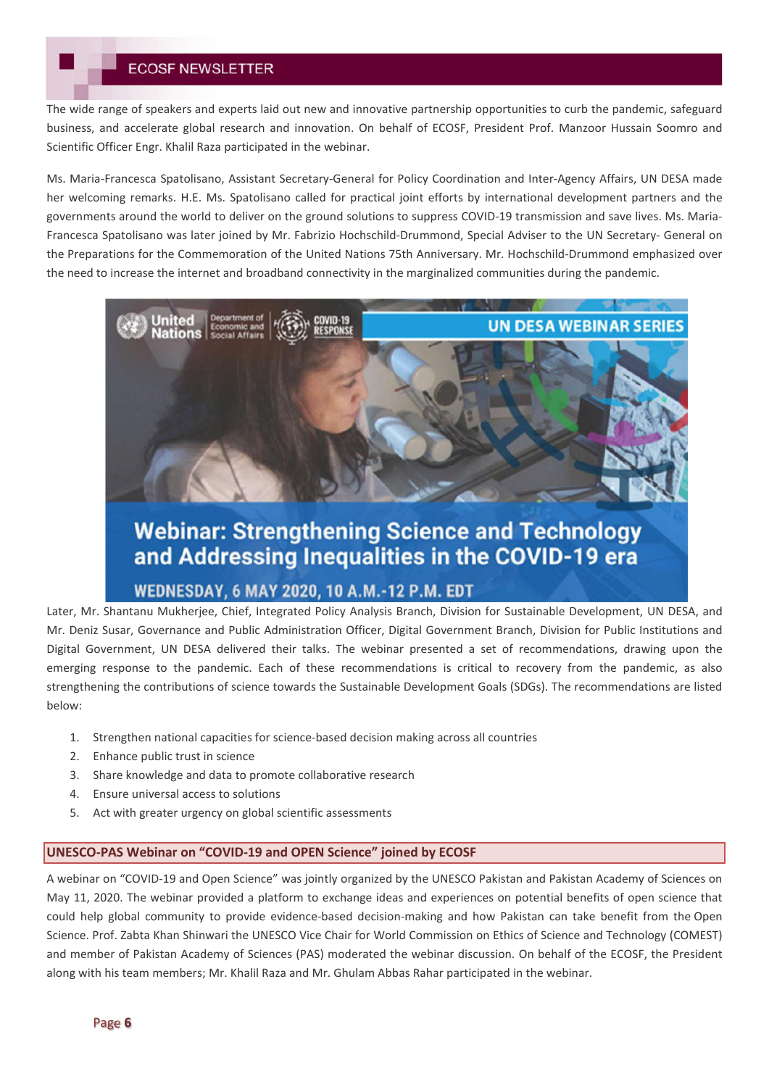## **ECOSF NEWSLETTER**

The wide range of speakers and experts laid out new and innovative partnership opportunities to curb the pandemic, safeguard business, and accelerate global research and innovation. On behalf of ECOSF, President Prof. Manzoor Hussain Soomro and Scientific Officer Engr. Khalil Raza participated in the webinar.

Ms. Maria-Francesca Spatolisano, Assistant Secretary-General for Policy Coordination and Inter-Agency Affairs, UN DESA made her welcoming remarks. H.E. Ms. Spatolisano called for practical joint efforts by international development partners and the governments around the world to deliver on the ground solutions to suppress COVID-19 transmission and save lives. Ms. Maria-Francesca Spatolisano was later joined by Mr. Fabrizio Hochschild-Drummond, Special Adviser to the UN Secretary- General on the Preparations for the Commemoration of the United Nations 75th Anniversary. Mr. Hochschild-Drummond emphasized over the need to increase the internet and broadband connectivity in the marginalized communities during the pandemic.



# **Webinar: Strengthening Science and Technology** and Addressing Inequalities in the COVID-19 era

## WEDNESDAY, 6 MAY 2020, 10 A.M.-12 P.M. EDT

Later, Mr. Shantanu Mukherjee, Chief, Integrated Policy Analysis Branch, Division for Sustainable Development, UN DESA, and Mr. Deniz Susar, Governance and Public Administration Officer, Digital Government Branch, Division for Public Institutions and Digital Government, UN DESA delivered their talks. The webinar presented a set of recommendations, drawing upon the emerging response to the pandemic. Each of these recommendations is critical to recovery from the pandemic, as also strengthening the contributions of science towards the Sustainable Development Goals (SDGs). The recommendations are listed below:

- 1. Strengthen national capacities for science-based decision making across all countries
- 2. Enhance public trust in science
- 3. Share knowledge and data to promote collaborative research
- 4. Ensure universal access to solutions
- 5. Act with greater urgency on global scientific assessments

## **UNESCO-PAS Webinar on "COVID-19 and OPEN Science" joined by ECOSF**

A webinar on "COVID-19 and Open Science" was jointly organized by the UNESCO Pakistan and Pakistan Academy of Sciences on May 11, 2020. The webinar provided a platform to exchange ideas and experiences on potential benefits of open science that could help global community to provide evidence-based decision-making and how Pakistan can take benefit from the Open Science. Prof. Zabta Khan Shinwari the UNESCO Vice Chair for World Commission on Ethics of Science and Technology (COMEST) and member of Pakistan Academy of Sciences (PAS) moderated the webinar discussion. On behalf of the ECOSF, the President along with his team members; Mr. Khalil Raza and Mr. Ghulam Abbas Rahar participated in the webinar.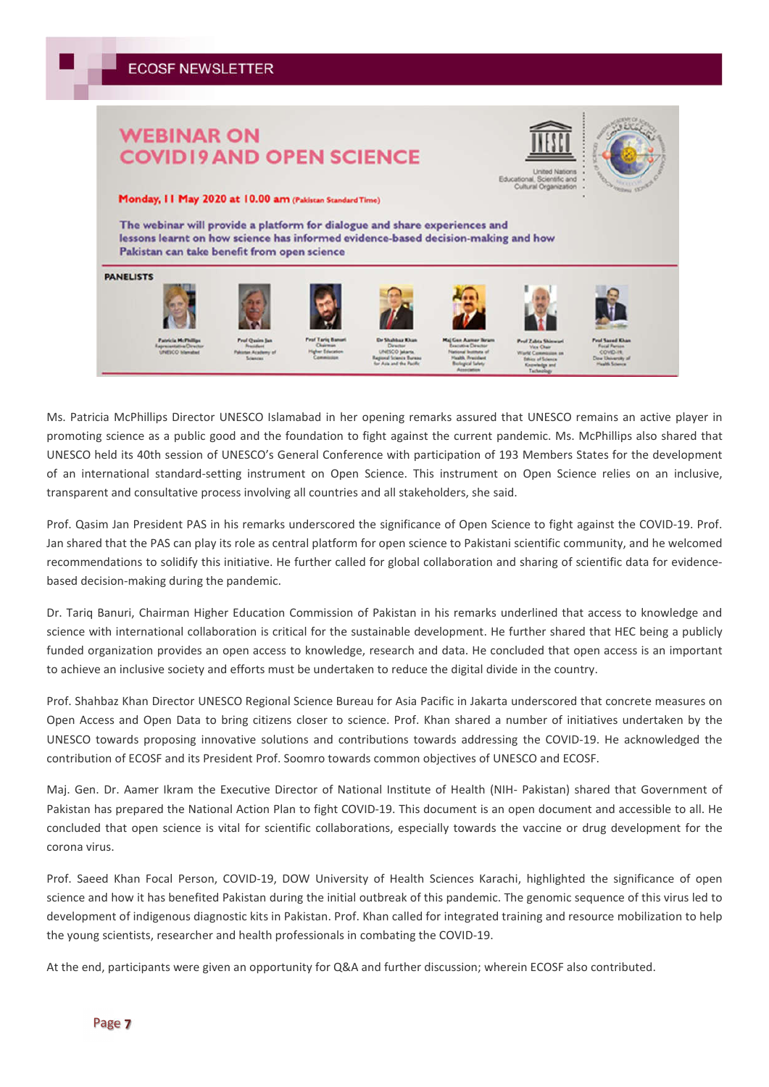## **WEBINAR ON COVID19 AND OPEN SCIENCE**



Monday, II May 2020 at 10.00 am (Pakistan Standard Time)

The webinar will provide a platform for dialogue and share experiences and lessons learnt on how science has informed evidence-based decision-making and how Pakistan can take benefit from open science



Ms. Patricia McPhillips Director UNESCO Islamabad in her opening remarks assured that UNESCO remains an active player in promoting science as a public good and the foundation to fight against the current pandemic. Ms. McPhillips also shared that UNESCO held its 40th session of UNESCO's General Conference with participation of 193 Members States for the development of an international standard-setting instrument on Open Science. This instrument on Open Science relies on an inclusive, transparent and consultative process involving all countries and all stakeholders, she said.

Prof. Qasim Jan President PAS in his remarks underscored the significance of Open Science to fight against the COVID-19. Prof. Jan shared that the PAS can play its role as central platform for open science to Pakistani scientific community, and he welcomed recommendations to solidify this initiative. He further called for global collaboration and sharing of scientific data for evidencebased decision-making during the pandemic.

Dr. Tariq Banuri, Chairman Higher Education Commission of Pakistan in his remarks underlined that access to knowledge and science with international collaboration is critical for the sustainable development. He further shared that HEC being a publicly funded organization provides an open access to knowledge, research and data. He concluded that open access is an important to achieve an inclusive society and efforts must be undertaken to reduce the digital divide in the country.

Prof. Shahbaz Khan Director UNESCO Regional Science Bureau for Asia Pacific in Jakarta underscored that concrete measures on Open Access and Open Data to bring citizens closer to science. Prof. Khan shared a number of initiatives undertaken by the UNESCO towards proposing innovative solutions and contributions towards addressing the COVID-19. He acknowledged the contribution of ECOSF and its President Prof. Soomro towards common objectives of UNESCO and ECOSF.

Maj. Gen. Dr. Aamer Ikram the Executive Director of National Institute of Health (NIH- Pakistan) shared that Government of Pakistan has prepared the National Action Plan to fight COVID-19. This document is an open document and accessible to all. He concluded that open science is vital for scientific collaborations, especially towards the vaccine or drug development for the corona virus.

Prof. Saeed Khan Focal Person, COVID-19, DOW University of Health Sciences Karachi, highlighted the significance of open science and how it has benefited Pakistan during the initial outbreak of this pandemic. The genomic sequence of this virus led to development of indigenous diagnostic kits in Pakistan. Prof. Khan called for integrated training and resource mobilization to help the young scientists, researcher and health professionals in combating the COVID-19.

At the end, participants were given an opportunity for Q&A and further discussion; wherein ECOSF also contributed.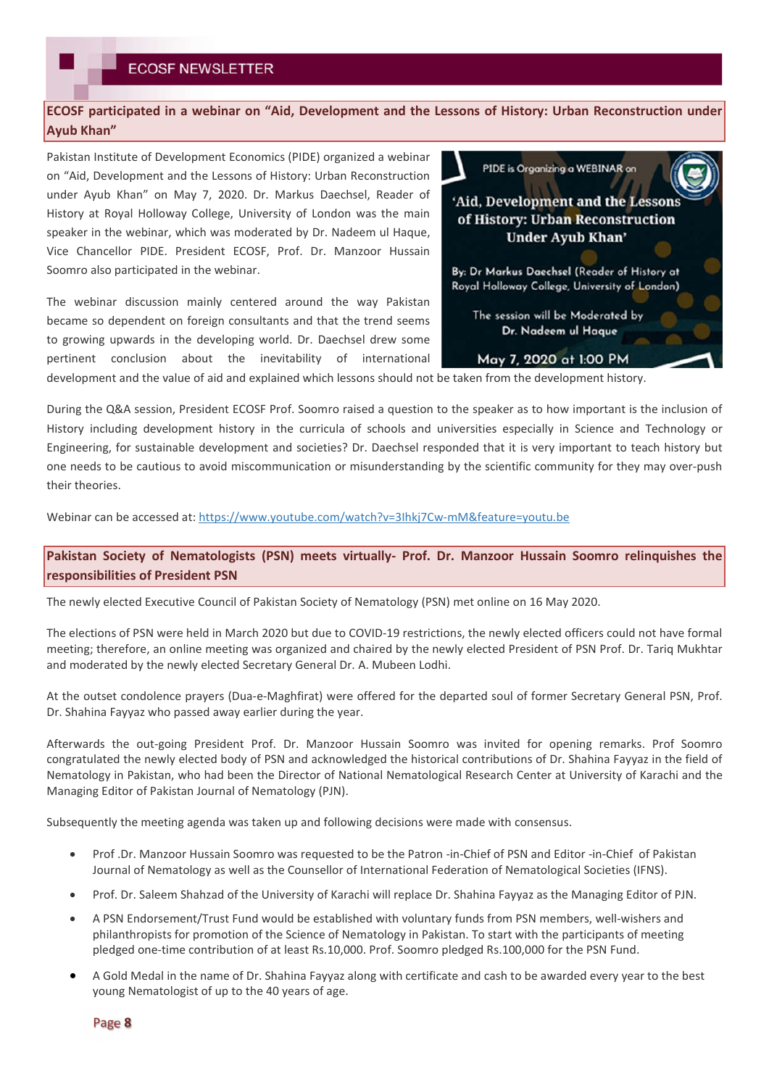## **ECOSF participated in a webinar on "Aid, Development and the Lessons of History: Urban Reconstruction under Ayub Khan"**

Pakistan Institute of Development Economics (PIDE) organized a webinar on "Aid, Development and the Lessons of History: Urban Reconstruction under Ayub Khan" on May 7, 2020. Dr. Markus Daechsel, Reader of History at Royal Holloway College, University of London was the main speaker in the webinar, which was moderated by Dr. Nadeem ul Haque, Vice Chancellor PIDE. President ECOSF, Prof. Dr. Manzoor Hussain Soomro also participated in the webinar.

The webinar discussion mainly centered around the way Pakistan became so dependent on foreign consultants and that the trend seems to growing upwards in the developing world. Dr. Daechsel drew some pertinent conclusion about the inevitability of international



development and the value of aid and explained which lessons should not be taken from the development history.

During the Q&A session, President ECOSF Prof. Soomro raised a question to the speaker as to how important is the inclusion of History including development history in the curricula of schools and universities especially in Science and Technology or Engineering, for sustainable development and societies? Dr. Daechsel responded that it is very important to teach history but one needs to be cautious to avoid miscommunication or misunderstanding by the scientific community for they may over-push their theories.

Webinar can be accessed at: https://www.youtube.com/watch?v=3Ihkj7Cw-mM&feature=youtu.be

## **Pakistan Society of Nematologists (PSN) meets virtually- Prof. Dr. Manzoor Hussain Soomro relinquishes the responsibilities of President PSN**

The newly elected Executive Council of Pakistan Society of Nematology (PSN) met online on 16 May 2020.

The elections of PSN were held in March 2020 but due to COVID-19 restrictions, the newly elected officers could not have formal meeting; therefore, an online meeting was organized and chaired by the newly elected President of PSN Prof. Dr. Tariq Mukhtar and moderated by the newly elected Secretary General Dr. A. Mubeen Lodhi.

At the outset condolence prayers (Dua-e-Maghfirat) were offered for the departed soul of former Secretary General PSN, Prof. Dr. Shahina Fayyaz who passed away earlier during the year.

Afterwards the out-going President Prof. Dr. Manzoor Hussain Soomro was invited for opening remarks. Prof Soomro congratulated the newly elected body of PSN and acknowledged the historical contributions of Dr. Shahina Fayyaz in the field of Nematology in Pakistan, who had been the Director of National Nematological Research Center at University of Karachi and the Managing Editor of Pakistan Journal of Nematology (PJN).

Subsequently the meeting agenda was taken up and following decisions were made with consensus.

- Prof .Dr. Manzoor Hussain Soomro was requested to be the Patron -in-Chief of PSN and Editor -in-Chief of Pakistan Journal of Nematology as well as the Counsellor of International Federation of Nematological Societies (IFNS).
- Prof. Dr. Saleem Shahzad of the University of Karachi will replace Dr. Shahina Fayyaz as the Managing Editor of PJN.
- A PSN Endorsement/Trust Fund would be established with voluntary funds from PSN members, well-wishers and philanthropists for promotion of the Science of Nematology in Pakistan. To start with the participants of meeting pledged one-time contribution of at least Rs.10,000. Prof. Soomro pledged Rs.100,000 for the PSN Fund.
- A Gold Medal in the name of Dr. Shahina Fayyaz along with certificate and cash to be awarded every year to the best young Nematologist of up to the 40 years of age.

Page 8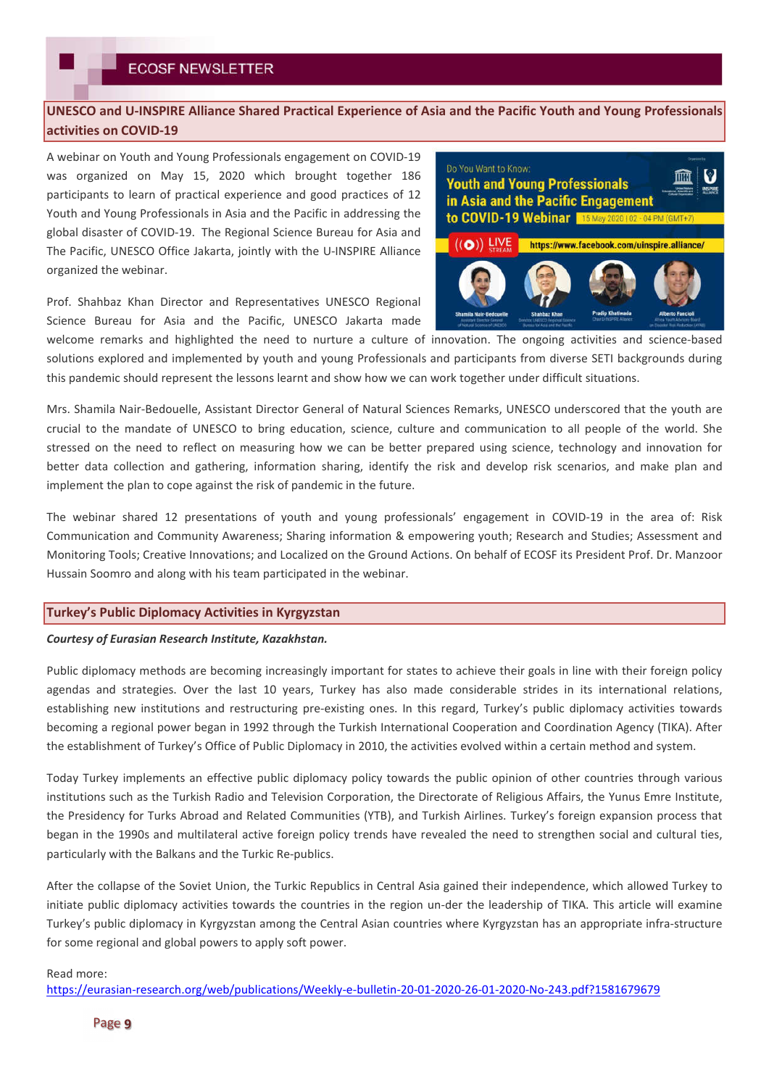## **UNESCO and U-INSPIRE Alliance Shared Practical Experience of Asia and the Pacific Youth and Young Professionals activities on COVID-19**

A webinar on Youth and Young Professionals engagement on COVID-19 was organized on May 15, 2020 which brought together 186 participants to learn of practical experience and good practices of 12 Youth and Young Professionals in Asia and the Pacific in addressing the global disaster of COVID-19. The Regional Science Bureau for Asia and The Pacific, UNESCO Office Jakarta, jointly with the U-INSPIRE Alliance organized the webinar.



Prof. Shahbaz Khan Director and Representatives UNESCO Regional Science Bureau for Asia and the Pacific, UNESCO Jakarta made

welcome remarks and highlighted the need to nurture a culture of innovation. The ongoing activities and science-based solutions explored and implemented by youth and young Professionals and participants from diverse SETI backgrounds during this pandemic should represent the lessons learnt and show how we can work together under difficult situations.

Mrs. Shamila Nair-Bedouelle, Assistant Director General of Natural Sciences Remarks, UNESCO underscored that the youth are crucial to the mandate of UNESCO to bring education, science, culture and communication to all people of the world. She stressed on the need to reflect on measuring how we can be better prepared using science, technology and innovation for better data collection and gathering, information sharing, identify the risk and develop risk scenarios, and make plan and implement the plan to cope against the risk of pandemic in the future.

The webinar shared 12 presentations of youth and young professionals' engagement in COVID-19 in the area of: Risk Communication and Community Awareness; Sharing information & empowering youth; Research and Studies; Assessment and Monitoring Tools; Creative Innovations; and Localized on the Ground Actions. On behalf of ECOSF its President Prof. Dr. Manzoor Hussain Soomro and along with his team participated in the webinar.

### **Turkey's Public Diplomacy Activities in Kyrgyzstan**

### *Courtesy of Eurasian Research Institute, Kazakhstan.*

Public diplomacy methods are becoming increasingly important for states to achieve their goals in line with their foreign policy agendas and strategies. Over the last 10 years, Turkey has also made considerable strides in its international relations, establishing new institutions and restructuring pre-existing ones. In this regard, Turkey's public diplomacy activities towards becoming a regional power began in 1992 through the Turkish International Cooperation and Coordination Agency (TIKA). After the establishment of Turkey's Office of Public Diplomacy in 2010, the activities evolved within a certain method and system.

Today Turkey implements an effective public diplomacy policy towards the public opinion of other countries through various institutions such as the Turkish Radio and Television Corporation, the Directorate of Religious Affairs, the Yunus Emre Institute, the Presidency for Turks Abroad and Related Communities (YTB), and Turkish Airlines. Turkey's foreign expansion process that began in the 1990s and multilateral active foreign policy trends have revealed the need to strengthen social and cultural ties, particularly with the Balkans and the Turkic Re-publics.

After the collapse of the Soviet Union, the Turkic Republics in Central Asia gained their independence, which allowed Turkey to initiate public diplomacy activities towards the countries in the region un-der the leadership of TIKA. This article will examine Turkey's public diplomacy in Kyrgyzstan among the Central Asian countries where Kyrgyzstan has an appropriate infra-structure for some regional and global powers to apply soft power.

### Read more:

https://eurasian-research.org/web/publications/Weekly-e-bulletin-20-01-2020-26-01-2020-No-243.pdf?1581679679